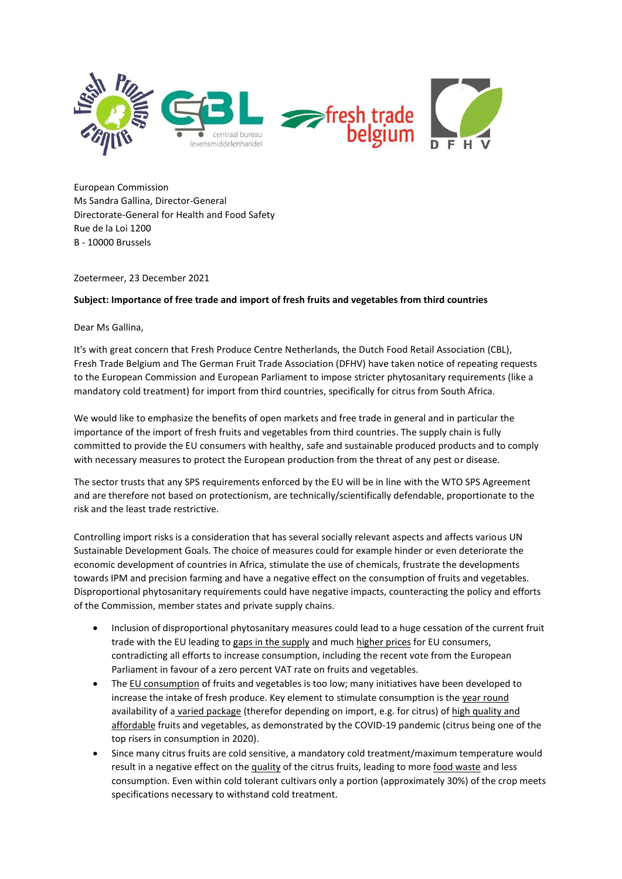

European Commission Ms Sandra Gallina, Director-General Directorate-General for Health and Food Safety Rue de la Loi 1200 B - 10000 Brussels

Zoetermeer, 23 December 2021

## **Subject: Importance of free trade and import of fresh fruits and vegetables from third countries**

Dear Ms Gallina,

It's with great concern that Fresh Produce Centre Netherlands, the Dutch Food Retail Association (CBL), Fresh Trade Belgium and The German Fruit Trade Association (DFHV) have taken notice of repeating requests to the European Commission and European Parliament to impose stricter phytosanitary requirements (like a mandatory cold treatment) for import from third countries, specifically for citrus from South Africa.

We would like to emphasize the benefits of open markets and free trade in general and in particular the importance of the import of fresh fruits and vegetables from third countries. The supply chain is fully committed to provide the EU consumers with healthy, safe and sustainable produced products and to comply with necessary measures to protect the European production from the threat of any pest or disease.

The sector trusts that any SPS requirements enforced by the EU will be in line with the WTO SPS Agreement and are therefore not based on protectionism, are technically/scientifically defendable, proportionate to the risk and the least trade restrictive.

Controlling import risks is a consideration that has several socially relevant aspects and affects various UN Sustainable Development Goals. The choice of measures could for example hinder or even deteriorate the economic development of countries in Africa, stimulate the use of chemicals, frustrate the developments towards IPM and precision farming and have a negative effect on the consumption of fruits and vegetables. Disproportional phytosanitary requirements could have negative impacts, counteracting the policy and efforts of the Commission, member states and private supply chains.

- Inclusion of disproportional phytosanitary measures could lead to a huge cessation of the current fruit trade with the EU leading to gaps in the supply and much higher prices for EU consumers, contradicting all efforts to increase consumption, including the recent vote from the European Parliament in favour of a zero percent VAT rate on fruits and vegetables.
- The EU consumption of fruits and vegetables is too low; many initiatives have been developed to increase the intake of fresh produce. Key element to stimulate consumption is the year round availability of a varied package (therefor depending on import, e.g. for citrus) of high quality and affordable fruits and vegetables, as demonstrated by the COVID-19 pandemic (citrus being one of the top risers in consumption in 2020).
- Since many citrus fruits are cold sensitive, a mandatory cold treatment/maximum temperature would result in a negative effect on the quality of the citrus fruits, leading to more food waste and less consumption. Even within cold tolerant cultivars only a portion (approximately 30%) of the crop meets specifications necessary to withstand cold treatment.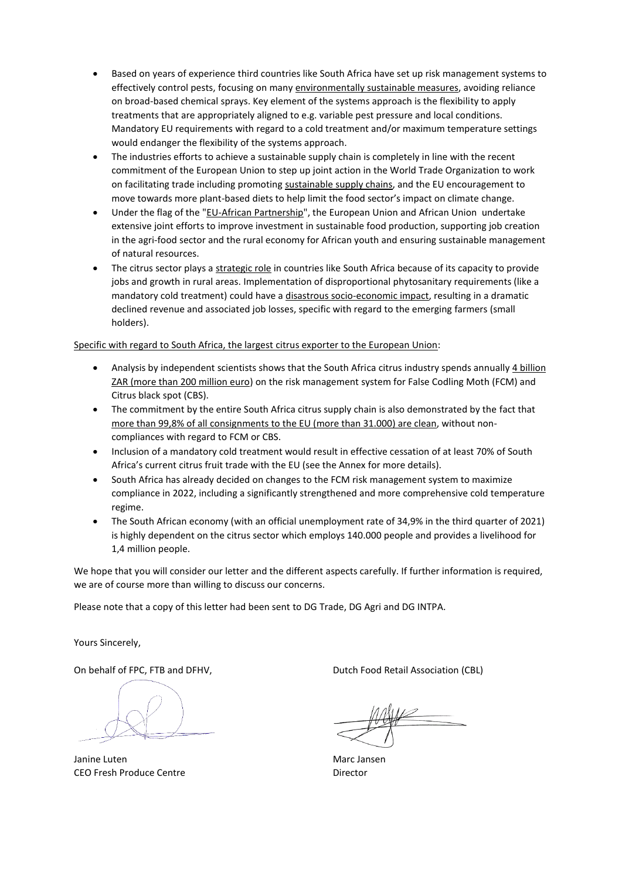- Based on years of experience third countries like South Africa have set up risk management systems to effectively control pests, focusing on many environmentally sustainable measures, avoiding reliance on broad-based chemical sprays. Key element of the systems approach is the flexibility to apply treatments that are appropriately aligned to e.g. variable pest pressure and local conditions. Mandatory EU requirements with regard to a cold treatment and/or maximum temperature settings would endanger the flexibility of the systems approach.
- The industries efforts to achieve a sustainable supply chain is completely in line with the recent commitment of the European Union to step up joint action in the World Trade Organization to work on facilitating trade including promoting sustainable supply chains, and the EU encouragement to move towards more plant-based diets to help limit the food sector's impact on climate change.
- Under the flag of the "EU-African Partnership", the European Union and African Union undertake extensive joint efforts to improve investment in sustainable food production, supporting job creation in the agri-food sector and the rural economy for African youth and ensuring sustainable management of natural resources.
- The citrus sector plays a strategic role in countries like South Africa because of its capacity to provide jobs and growth in rural areas. Implementation of disproportional phytosanitary requirements (like a mandatory cold treatment) could have a disastrous socio-economic impact, resulting in a dramatic declined revenue and associated job losses, specific with regard to the emerging farmers (small holders).

Specific with regard to South Africa, the largest citrus exporter to the European Union:

- Analysis by independent scientists shows that the South Africa citrus industry spends annually 4 billion ZAR (more than 200 million euro) on the risk management system for False Codling Moth (FCM) and Citrus black spot (CBS).
- The commitment by the entire South Africa citrus supply chain is also demonstrated by the fact that more than 99,8% of all consignments to the EU (more than 31.000) are clean, without noncompliances with regard to FCM or CBS.
- Inclusion of a mandatory cold treatment would result in effective cessation of at least 70% of South Africa's current citrus fruit trade with the EU (see the Annex for more details).
- South Africa has already decided on changes to the FCM risk management system to maximize compliance in 2022, including a significantly strengthened and more comprehensive cold temperature regime.
- The South African economy (with an official unemployment rate of 34,9% in the third quarter of 2021) is highly dependent on the citrus sector which employs 140.000 people and provides a livelihood for 1,4 million people.

We hope that you will consider our letter and the different aspects carefully. If further information is required, we are of course more than willing to discuss our concerns.

Please note that a copy of this letter had been sent to DG Trade, DG Agri and DG INTPA.

Yours Sincerely,

Janine Luten Marc Jansen CEO Fresh Produce Centre **Director** 

On behalf of FPC, FTB and DFHV, **Dutch Food Retail Association (CBL)**